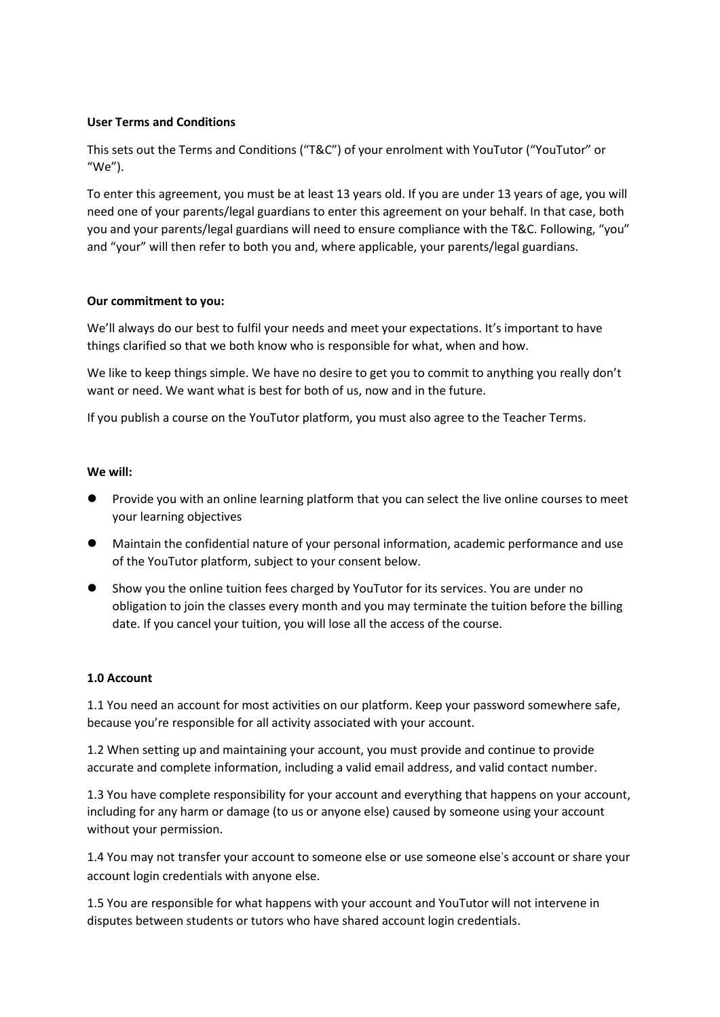## **User Terms and Conditions**

This sets out the Terms and Conditions ("T&C") of your enrolment with YouTutor ("YouTutor" or "We").

To enter this agreement, you must be at least 13 years old. If you are under 13 years of age, you will need one of your parents/legal guardians to enter this agreement on your behalf. In that case, both you and your parents/legal guardians will need to ensure compliance with the T&C. Following, "you" and "your" will then refer to both you and, where applicable, your parents/legal guardians.

### **Our commitment to you:**

We'll always do our best to fulfil your needs and meet your expectations. It's important to have things clarified so that we both know who is responsible for what, when and how.

We like to keep things simple. We have no desire to get you to commit to anything you really don't want or need. We want what is best for both of us, now and in the future.

If you publish a course on the YouTutor platform, you must also agree to the Teacher Terms.

### **We will:**

- ⚫ Provide you with an online learning platform that you can select the live online courses to meet your learning objectives
- ⚫ Maintain the confidential nature of your personal information, academic performance and use of the YouTutor platform, subject to your consent below.
- Show you the online tuition fees charged by YouTutor for its services. You are under no obligation to join the classes every month and you may terminate the tuition before the billing date. If you cancel your tuition, you will lose all the access of the course.

# **1.0 Account**

1.1 You need an account for most activities on our platform. Keep your password somewhere safe, because you're responsible for all activity associated with your account.

1.2 When setting up and maintaining your account, you must provide and continue to provide accurate and complete information, including a valid email address, and valid contact number.

1.3 You have complete responsibility for your account and everything that happens on your account, including for any harm or damage (to us or anyone else) caused by someone using your account without your permission.

1.4 You may not transfer your account to someone else or use someone else's account or share your account login credentials with anyone else.

1.5 You are responsible for what happens with your account and YouTutor will not intervene in disputes between students or tutors who have shared account login credentials.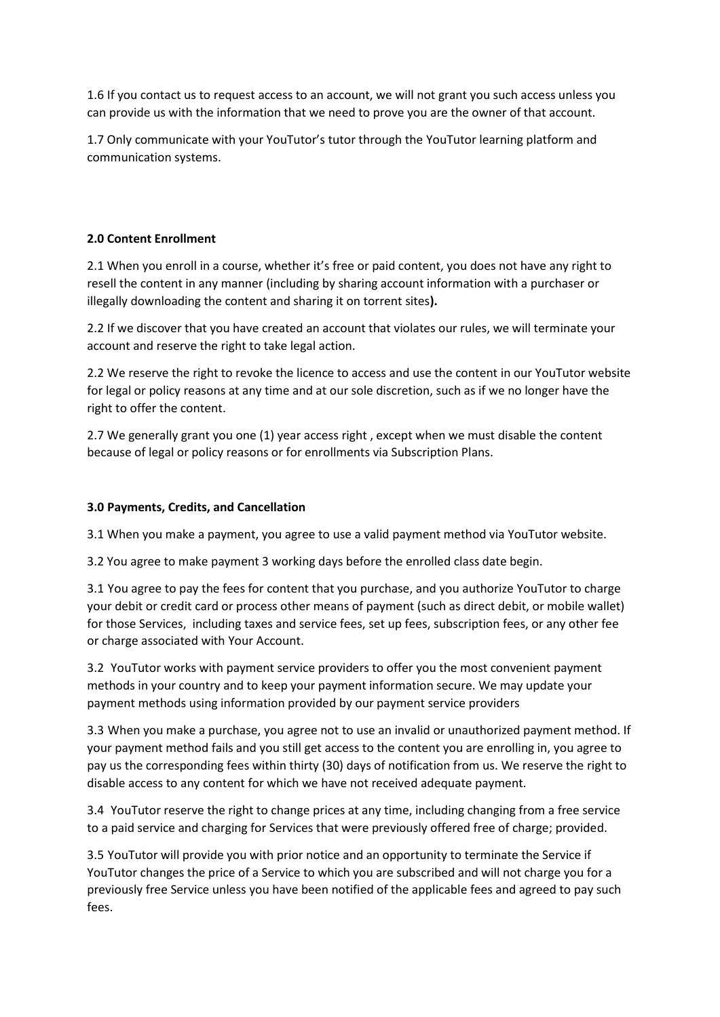1.6 If you contact us to request access to an account, we will not grant you such access unless you can provide us with the information that we need to prove you are the owner of that account.

1.7 Only communicate with your YouTutor's tutor through the YouTutor learning platform and communication systems.

# **2.0 Content Enrollment**

2.1 When you enroll in a course, whether it's free or paid content, you does not have any right to resell the content in any manner (including by sharing account information with a purchaser or illegally downloading the content and sharing it on torrent sites**).**

2.2 If we discover that you have created an account that violates our rules, we will terminate your account and reserve the right to take legal action.

2.2 We reserve the right to revoke the licence to access and use the content in our YouTutor website for legal or policy reasons at any time and at our sole discretion, such as if we no longer have the right to offer the content.

2.7 We generally grant you one (1) year access right , except when we must disable the content because of legal or policy reasons or for enrollments via Subscription Plans.

# **3.0 Payments, Credits, and Cancellation**

3.1 When you make a payment, you agree to use a valid payment method via YouTutor website.

3.2 You agree to make payment 3 working days before the enrolled class date begin.

3.1 You agree to pay the fees for content that you purchase, and you authorize YouTutor to charge your debit or credit card or process other means of payment (such as direct debit, or mobile wallet) for those Services, including taxes and service fees, set up fees, subscription fees, or any other fee or charge associated with Your Account.

3.2 YouTutor works with payment service providers to offer you the most convenient payment methods in your country and to keep your payment information secure. We may update your payment methods using information provided by our payment service providers

3.3 When you make a purchase, you agree not to use an invalid or unauthorized payment method. If your payment method fails and you still get access to the content you are enrolling in, you agree to pay us the corresponding fees within thirty (30) days of notification from us. We reserve the right to disable access to any content for which we have not received adequate payment.

3.4 YouTutor reserve the right to change prices at any time, including changing from a free service to a paid service and charging for Services that were previously offered free of charge; provided.

3.5 YouTutor will provide you with prior notice and an opportunity to terminate the Service if YouTutor changes the price of a Service to which you are subscribed and will not charge you for a previously free Service unless you have been notified of the applicable fees and agreed to pay such fees.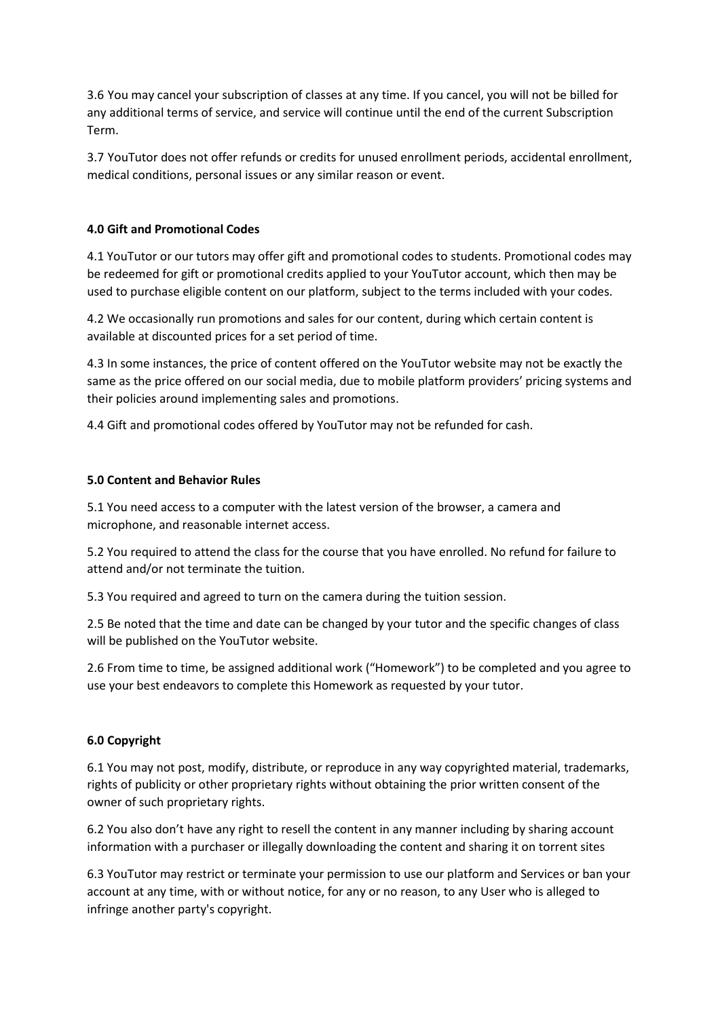3.6 You may cancel your subscription of classes at any time. If you cancel, you will not be billed for any additional terms of service, and service will continue until the end of the current Subscription Term.

3.7 YouTutor does not offer refunds or credits for unused enrollment periods, accidental enrollment, medical conditions, personal issues or any similar reason or event.

## **4.0 Gift and Promotional Codes**

4.1 YouTutor or our tutors may offer gift and promotional codes to students. Promotional codes may be redeemed for gift or promotional credits applied to your YouTutor account, which then may be used to purchase eligible content on our platform, subject to the terms included with your codes.

4.2 We occasionally run promotions and sales for our content, during which certain content is available at discounted prices for a set period of time.

4.3 In some instances, the price of content offered on the YouTutor website may not be exactly the same as the price offered on our social media, due to mobile platform providers' pricing systems and their policies around implementing sales and promotions.

4.4 Gift and promotional codes offered by YouTutor may not be refunded for cash.

## **5.0 Content and Behavior Rules**

5.1 You need access to a computer with the latest version of the browser, a camera and microphone, and reasonable internet access.

5.2 You required to attend the class for the course that you have enrolled. No refund for failure to attend and/or not terminate the tuition.

5.3 You required and agreed to turn on the camera during the tuition session.

2.5 Be noted that the time and date can be changed by your tutor and the specific changes of class will be published on the YouTutor website.

2.6 From time to time, be assigned additional work ("Homework") to be completed and you agree to use your best endeavors to complete this Homework as requested by your tutor.

### **6.0 Copyright**

6.1 You may not post, modify, distribute, or reproduce in any way copyrighted material, trademarks, rights of publicity or other proprietary rights without obtaining the prior written consent of the owner of such proprietary rights.

6.2 You also don't have any right to resell the content in any manner including by sharing account information with a purchaser or illegally downloading the content and sharing it on torrent sites

6.3 YouTutor may restrict or terminate your permission to use our platform and Services or ban your account at any time, with or without notice, for any or no reason, to any User who is alleged to infringe another party's copyright.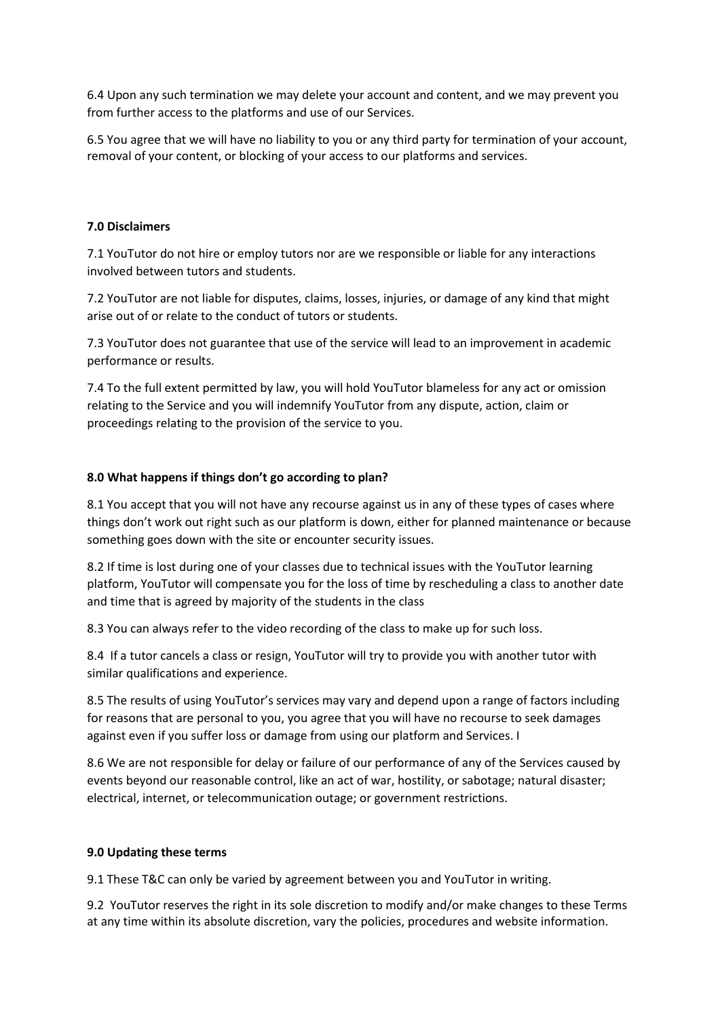6.4 Upon any such termination we may delete your account and content, and we may prevent you from further access to the platforms and use of our Services.

6.5 You agree that we will have no liability to you or any third party for termination of your account, removal of your content, or blocking of your access to our platforms and services.

#### **7.0 Disclaimers**

7.1 YouTutor do not hire or employ tutors nor are we responsible or liable for any interactions involved between tutors and students.

7.2 YouTutor are not liable for disputes, claims, losses, injuries, or damage of any kind that might arise out of or relate to the conduct of tutors or students.

7.3 YouTutor does not guarantee that use of the service will lead to an improvement in academic performance or results.

7.4 To the full extent permitted by law, you will hold YouTutor blameless for any act or omission relating to the Service and you will indemnify YouTutor from any dispute, action, claim or proceedings relating to the provision of the service to you.

#### **8.0 What happens if things don't go according to plan?**

8.1 You accept that you will not have any recourse against us in any of these types of cases where things don't work out right such as our platform is down, either for planned maintenance or because something goes down with the site or encounter security issues.

8.2 If time is lost during one of your classes due to technical issues with the YouTutor learning platform, YouTutor will compensate you for the loss of time by rescheduling a class to another date and time that is agreed by majority of the students in the class

8.3 You can always refer to the video recording of the class to make up for such loss.

8.4 If a tutor cancels a class or resign, YouTutor will try to provide you with another tutor with similar qualifications and experience.

8.5 The results of using YouTutor's services may vary and depend upon a range of factors including for reasons that are personal to you, you agree that you will have no recourse to seek damages against even if you suffer loss or damage from using our platform and Services. I

8.6 We are not responsible for delay or failure of our performance of any of the Services caused by events beyond our reasonable control, like an act of war, hostility, or sabotage; natural disaster; electrical, internet, or telecommunication outage; or government restrictions.

#### **9.0 Updating these terms**

9.1 These T&C can only be varied by agreement between you and YouTutor in writing.

9.2 YouTutor reserves the right in its sole discretion to modify and/or make changes to these Terms at any time within its absolute discretion, vary the policies, procedures and website information.